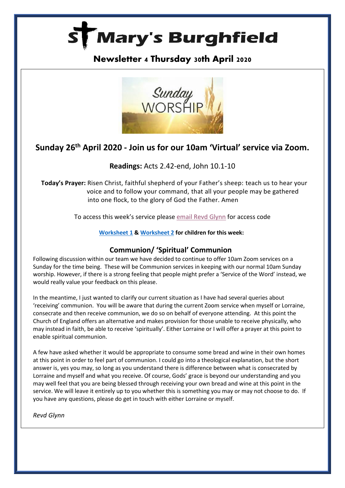

## **Newsletter 4 Thursday 30th April 2020**



# **Sunday 26th April 2020 - Join us for our 10am 'Virtual' service via Zoom.**

### **Readings:** Acts 2.42-end, John 10.1-10

**Today's Prayer:** Risen Christ, faithful shepherd of your Father's sheep: teach us to hear your voice and to follow your command, that all your people may be gathered into one flock, to the glory of God the Father. Amen

To access this week's service please [email Revd Glynn](mailto:Revd%20Glynn%20Lautenbach%20%3cglynn.lautenbach@stmarysburghfield.org%3e?subject=Sunday%20service%20Zoom%20access%20code%20) for access code

#### **[Worksheet](https://www.rootsontheweb.com/media/20600/03-may-2020-childrens-sheet.pdf) 1 & [Worksheet 2](https://www.rootsontheweb.com/media/20482/03-may-2019-colouring-sheet.pdf) for children for this week:**

#### **Communion/ 'Spiritual' Communion**

Following discussion within our team we have decided to continue to offer 10am Zoom services on a Sunday for the time being. These will be Communion services in keeping with our normal 10am Sunday worship. However, if there is a strong feeling that people might prefer a 'Service of the Word' instead, we would really value your feedback on this please.

In the meantime, I just wanted to clarify our current situation as I have had several queries about 'receiving' communion. You will be aware that during the current Zoom service when myself or Lorraine, consecrate and then receive communion, we do so on behalf of everyone attending. At this point the Church of England offers an alternative and makes provision for those unable to receive physically, who may instead in faith, be able to receive 'spiritually'. Either Lorraine or I will offer a prayer at this point to enable spiritual communion.

A few have asked whether it would be appropriate to consume some bread and wine in their own homes at this point in order to feel part of communion. I could go into a theological explanation, but the short answer is, yes you may, so long as you understand there is difference between what is consecrated by Lorraine and myself and what you receive. Of course, Gods' grace is beyond our understanding and you may well feel that you are being blessed through receiving your own bread and wine at this point in the service. We will leave it entirely up to you whether this is something you may or may not choose to do. If you have any questions, please do get in touch with either Lorraine or myself.

*Revd Glynn*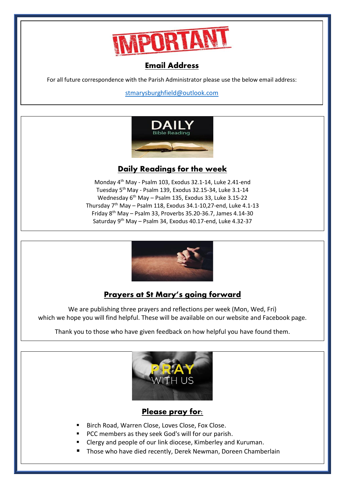

## Email Address

For all future correspondence with the Parish Administrator please use the below email address:

[stmarysburghfield@outlook.com](mailto:stmarysburghfield@outlook.com)



### **Daily Readings for the week**

Monday 4 th May - Psalm 103, Exodus 32.1-14, Luke 2.41-end Tuesday 5 th May - Psalm 139, Exodus 32.15-34, Luke 3.1-14 Wednesday 6 th May – Psalm 135, Exodus 33, Luke 3.15-22 Thursday 7<sup>th</sup> May – Psalm 118, Exodus 34.1-10,27-end, Luke 4.1-13 Friday 8<sup>th</sup> May - Psalm 33, Proverbs 35.20-36.7, James 4.14-30 Saturday 9<sup>th</sup> May - Psalm 34, Exodus 40.17-end, Luke 4.32-37



## **Prayers at St Mary's going forward**

We are publishing three prayers and reflections per week (Mon, Wed, Fri) which we hope you will find helpful. These will be available on our website and Facebook page.

Thank you to those who have given feedback on how helpful you have found them.



### Please pray for:

- Birch Road, Warren Close, Loves Close, Fox Close.
- PCC members as they seek God's will for our parish.
- Clergy and people of our link diocese, Kimberley and Kuruman.
- Those who have died recently, Derek Newman, Doreen Chamberlain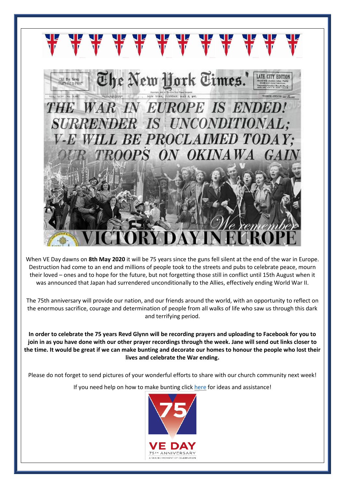

When VE Day dawns on **8th May 2020** it will be 75 years since the guns fell silent at the end of the war in Europe. Destruction had come to an end and millions of people took to the streets and pubs to celebrate peace, mourn their loved – ones and to hope for the future, but not forgetting those still in conflict until 15th August when it was announced that Japan had surrendered unconditionally to the Allies, effectively ending World War II.

The 75th anniversary will provide our nation, and our friends around the world, with an opportunity to reflect on the enormous sacrifice, courage and determination of people from all walks of life who saw us through this dark and terrifying period.

**In order to celebrate the 75 years Revd Glynn will be recording prayers and uploading to Facebook for you to join in as you have done with our other prayer recordings through the week. Jane will send out links closer to the time. It would be great if we can make bunting and decorate our homes to honour the people who lost their lives and celebrate the War ending.**

Please do not forget to send pictures of your wonderful efforts to share with our church community next week!

If you need help on how to make bunting clic[k here](https://www.bbc.co.uk/programmes/articles/4TrqYDyf4PMdLypxzyTwGDg/great-british-bunting) for ideas and assistance!

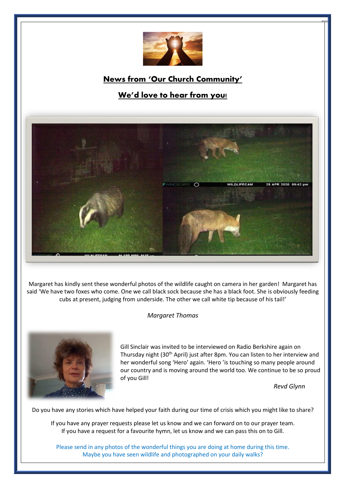

# **News from 'Our Church Community'**

# **We'd love to hear from you!**



Margaret has kindly sent these wonderful photos of the wildlife caught on camera in her garden! Margaret has said 'We have two foxes who come. One we call black sock because she has a black foot. She is obviously feeding cubs at present, judging from underside. The other we call white tip because of his tail!'

#### *Margaret Thomas*



Gill Sinclair was invited to be interviewed on Radio Berkshire again on Thursday night (30<sup>th</sup> April) just after 8pm. You can listen to her interview and her wonderful song 'Hero' again. 'Hero 'is touching so many people around our country and is moving around the world too. We continue to be so proud of you Gill!

 *Revd Glynn*

Do you have any stories which have helped your faith during our time of crisis which you might like to share?

If you have any prayer requests please let us know and we can forward on to our prayer team. If you have a request for a favourite hymn, let us know and we can pass this on to Gill.

Please send in any photos of the wonderful things you are doing at home during this time. Maybe you have seen wildlife and photographed on your daily walks?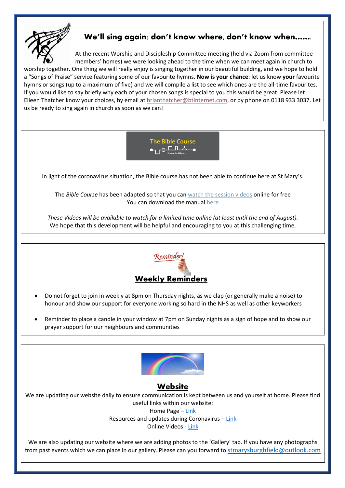

## **We'll sing again; don't know where, don't know when…….**

At the recent Worship and Discipleship Committee meeting (held via Zoom from committee members' homes) we were looking ahead to the time when we can meet again in church to worship together. One thing we will really enjoy is singing together in our beautiful building, and we hope to hold a "Songs of Praise" service featuring some of our favourite hymns. **Now is your chance**: let us know **your** favourite hymns or songs (up to a maximum of five) and we will compile a list to see which ones are the all-time favourites. If you would like to say briefly why each of your chosen songs is special to you this would be great. Please let Eileen Thatcher know your choices, by email at **brianthatcher@btinternet.com**, or by phone on 0118 933 3037. Let us be ready to sing again in church as soon as we can!



In light of the coronavirus situation, the Bible course has not been able to continue here at St Mary's.

The *Bible Course* has been adapted so that you can [watch the session videos](https://nam10.safelinks.protection.outlook.com/?url=https%3A%2F%2Fbiblesociety.cmail20.com%2Ft%2Fr-l-jhdukltd-ociikituu-y%2F&data=02%7C01%7C%7Cfd57895af51f4733569f08d7db934f7b%7C84df9e7fe9f640afb435aaaaaaaaaaaa%7C1%7C0%7C637219298040927676&sdata=0mtSFb%2FiBgKymiy5gKIQ5nx8eolQj7TI2g63ZPqCB%2BA%3D&reserved=0) online for free You can download the manual [here.](https://nam10.safelinks.protection.outlook.com/?url=https%3A%2F%2Fbiblesociety.cmail20.com%2Ft%2Fr-l-jhdukltd-ociikituu-j%2F&data=02%7C01%7C%7Cfd57895af51f4733569f08d7db934f7b%7C84df9e7fe9f640afb435aaaaaaaaaaaa%7C1%7C0%7C637219298040927676&sdata=WfKTIQ1j87TpMkYLpyuIsrDYJDsve9t8g3WHUIFTMdk%3D&reserved=0)

These Videos will be available to watch for a limited time online (at least until the end of August). We hope that this development will be helpful and encouraging to you at this challenging time.



- Do not forget to join in weekly at 8pm on Thursday nights, as we clap (or generally make a noise) to honour and show our support for everyone working so hard in the NHS as well as other keyworkers
- Reminder to place a candle in your window at 7pm on Sunday nights as a sign of hope and to show our prayer support for our neighbours and communities



### **Website**

We are updating our website daily to ensure communication is kept between us and yourself at home. Please find useful links within our website: Home Page – [Link](http://stmarysburghfield.org/)

Resources and updates during Coronavirus – [Link](http://stmarysburghfield.org/coronavirus/?LMCL=szDa6I) Online Videos - [Link](http://stmarysburghfield.org/virus-links/)

We are also updating our website where we are adding photos to the 'Gallery' tab. If you have any photographs from past events which we can place in our gallery. Please can you forward to [stmarysburghfield@outlook.com](mailto:stmarysburghfield@outlook.com)